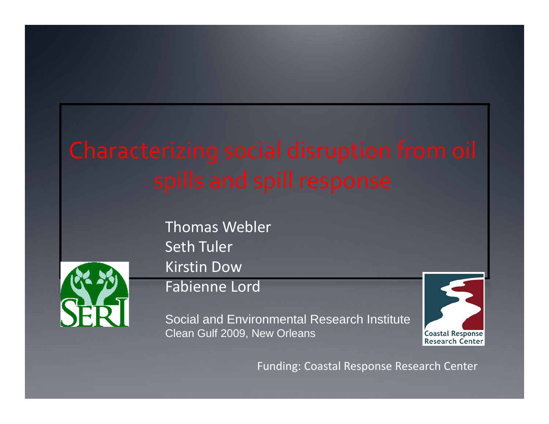

Thomas Webler Seth Tuler Kirstin Dow

### Fabienne Lord

Social and Environmental Research Institute Clean Gulf 2009, New Orleans



Funding: Coastal Response Research Center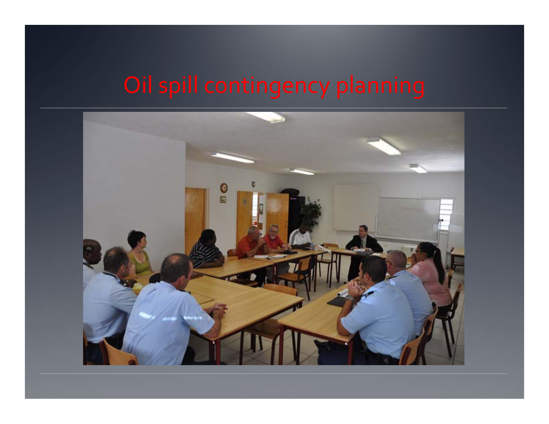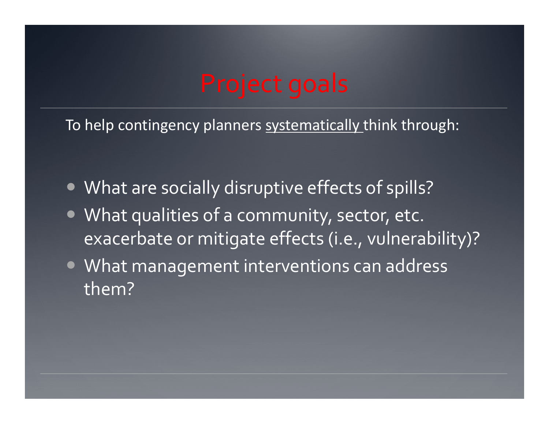To help contingency planners systematically think through:

- What are socially disruptive effects of spills?
- What qualities of a community, sector, etc. exacerbate or mitigate effects (i.e., vulnerability)?
- What management interventions can address them?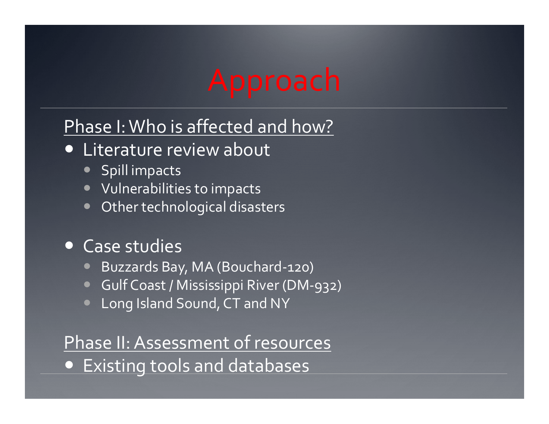# Approach

## Phase I:Who is affected and how?

- Literature review about
	- Spill impacts
	- $\bullet\;$  Vulnerabilities to impacts
	- $\bullet$ Other technological disasters

### • Case studies

- $\bullet$ Buzzards Bay, MA (Bouchard‐120)
- Gulf Coast / Mississippi River (DM-932)
- Long Island Sound, CT and NY

## Phase II: Assessment of resources Existing tools and databases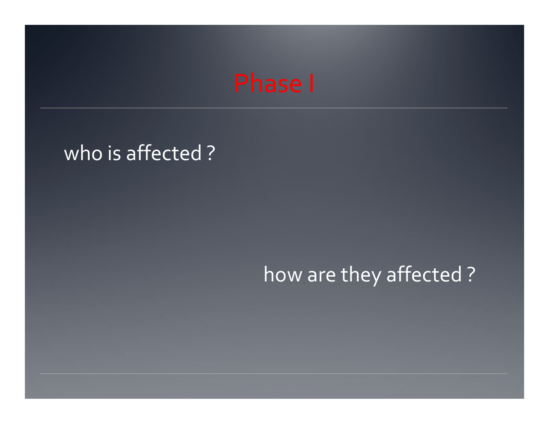## who is affected ?

# how are they affected ?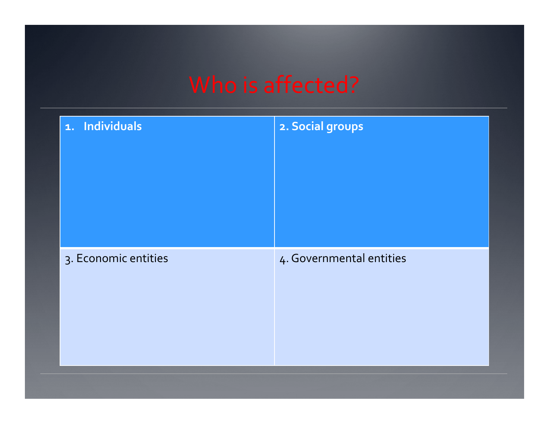| 1. Individuals       | 2. Social groups         |
|----------------------|--------------------------|
|                      |                          |
| 3. Economic entities | 4. Governmental entities |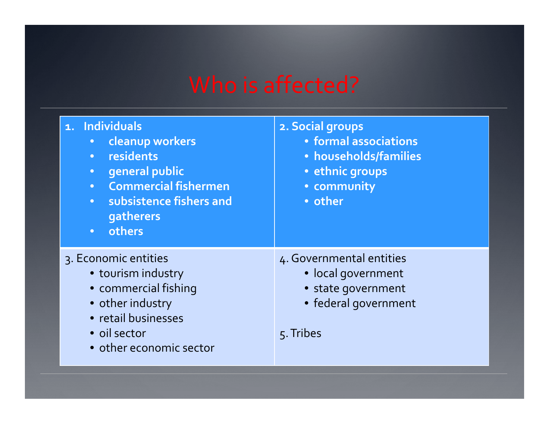| 1. Individuals<br><b>Cleanup workers</b><br>residents<br>$\bullet$<br>general public<br>$\bullet$<br><b>Commercial fishermen</b><br>• subsistence fishers and<br>gatherers<br>others<br>$\bullet$ | 2. Social groups<br>• formal associations<br>· households/families<br>• ethnic groups<br>• community<br>• other |
|---------------------------------------------------------------------------------------------------------------------------------------------------------------------------------------------------|-----------------------------------------------------------------------------------------------------------------|
| 3. Economic entities<br>· tourism industry<br>• commercial fishing<br>• other industry<br>· retail businesses<br>· oil sector<br>• other economic sector                                          | 4. Governmental entities<br>· local government<br>• state government<br>• federal government<br>5. Tribes       |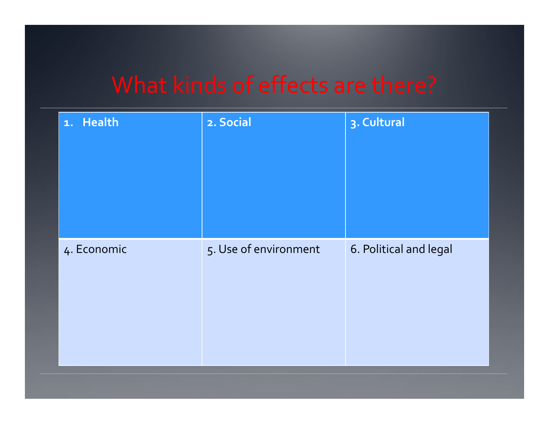| 1. Health   | 2. Social             | 3. Cultural            |
|-------------|-----------------------|------------------------|
| 4. Economic | 5. Use of environment | 6. Political and legal |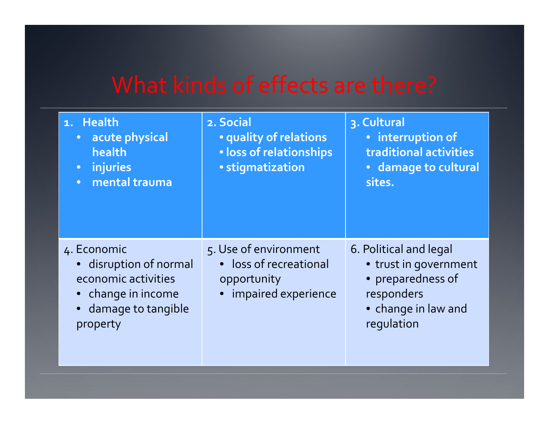| 1. Health<br>acute physical<br>$\bullet$<br>health<br>• injuries<br>mental trauma<br>$\bullet$                         | 2. Social<br>• quality of relations<br>· loss of relationships<br>· stigmatization      | 3. Cultural<br>· interruption of<br>traditional activities<br>· damage to cultural<br>sites.                            |
|------------------------------------------------------------------------------------------------------------------------|-----------------------------------------------------------------------------------------|-------------------------------------------------------------------------------------------------------------------------|
| 4. Economic<br>• disruption of normal<br>economic activities<br>• change in income<br>• damage to tangible<br>property | 5. Use of environment<br>• loss of recreational<br>opportunity<br>• impaired experience | 6. Political and legal<br>• trust in government<br>• preparedness of<br>responders<br>• change in law and<br>regulation |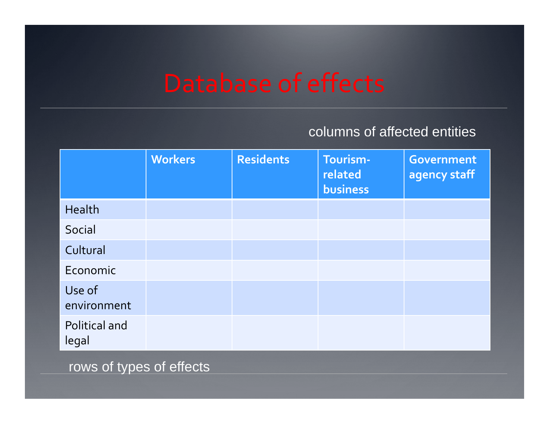### columns of affected entities

|                        | <b>Workers</b> | <b>Residents</b> | Tourism-<br>related<br>business | <b>Government</b><br>agency staff |
|------------------------|----------------|------------------|---------------------------------|-----------------------------------|
| Health                 |                |                  |                                 |                                   |
| Social                 |                |                  |                                 |                                   |
| Cultural               |                |                  |                                 |                                   |
| Economic               |                |                  |                                 |                                   |
| Use of<br>environment  |                |                  |                                 |                                   |
| Political and<br>legal |                |                  |                                 |                                   |

rows of types of effects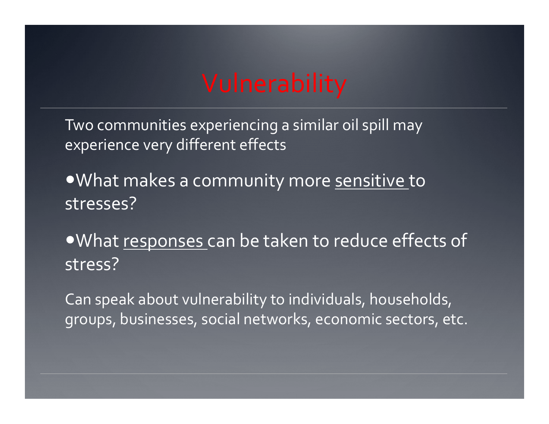# Vulnerability

Two communities experiencing a similar oil spill may experience very different effects

What makes a community more sensitive to stresses?

What responses can be taken to reduce effects of stress?

Can speak about vulnerability to individuals, households, groups, businesses, social networks, economic sectors, etc.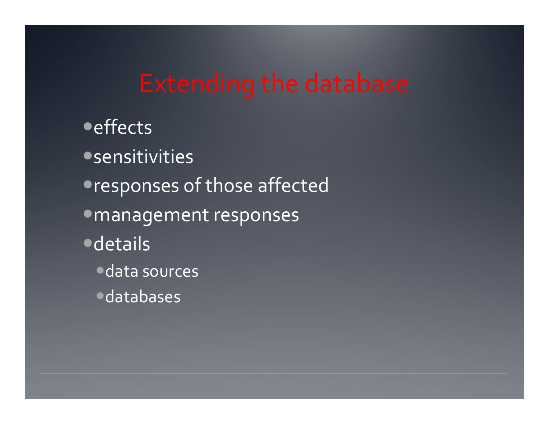# **Extending the database**

**•** effects **• sensitivities • responses of those affected** · management responses **·**details ·data sources **·**databases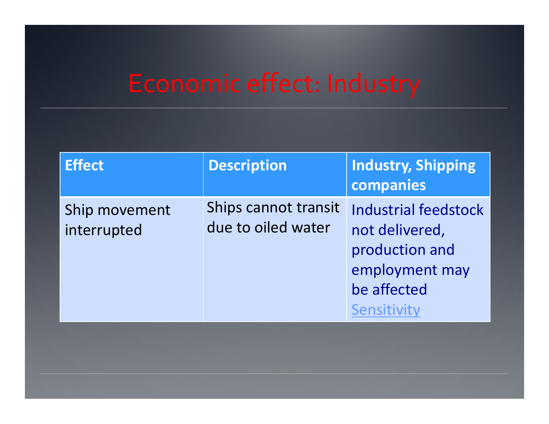### Economi mic effect: Industry

| <b>Effect</b>                | <b>Description</b>                         | <b>Industry, Shipping</b><br>companies                                                                          |
|------------------------------|--------------------------------------------|-----------------------------------------------------------------------------------------------------------------|
| Ship movement<br>interrupted | Ships cannot transit<br>due to oiled water | <b>Industrial feedstock</b><br>not delivered,<br>production and<br>employment may<br>be affected<br>Sensitivity |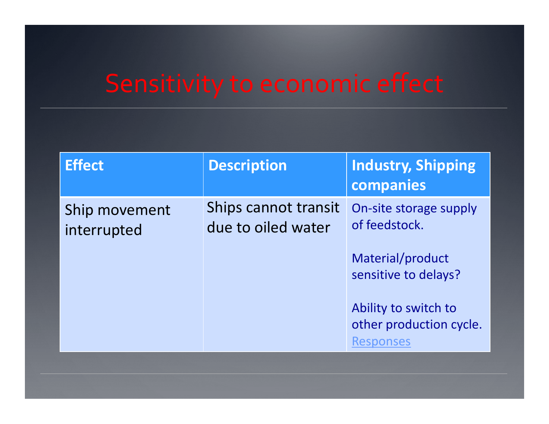| <b>Effect</b>                | <b>Description</b>                         | <b>Industry, Shipping</b><br>companies                              |
|------------------------------|--------------------------------------------|---------------------------------------------------------------------|
| Ship movement<br>interrupted | Ships cannot transit<br>due to oiled water | On-site storage supply<br>of feedstock.                             |
|                              |                                            | Material/product<br>sensitive to delays?                            |
|                              |                                            | Ability to switch to<br>other production cycle.<br><b>Responses</b> |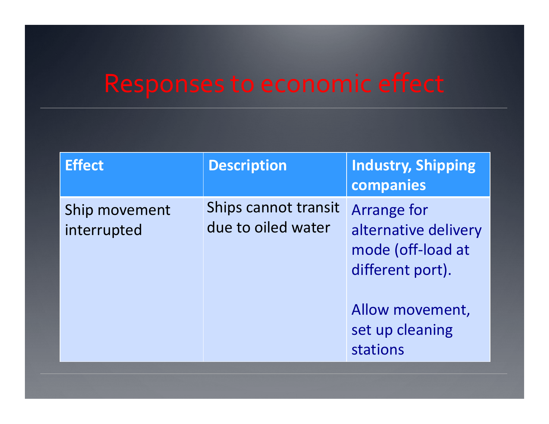| <b>Effect</b>                | <b>Description</b>                         | <b>Industry, Shipping</b><br>companies                                                                                                |
|------------------------------|--------------------------------------------|---------------------------------------------------------------------------------------------------------------------------------------|
| Ship movement<br>interrupted | Ships cannot transit<br>due to oiled water | <b>Arrange for</b><br>alternative delivery<br>mode (off-load at<br>different port).<br>Allow movement,<br>set up cleaning<br>stations |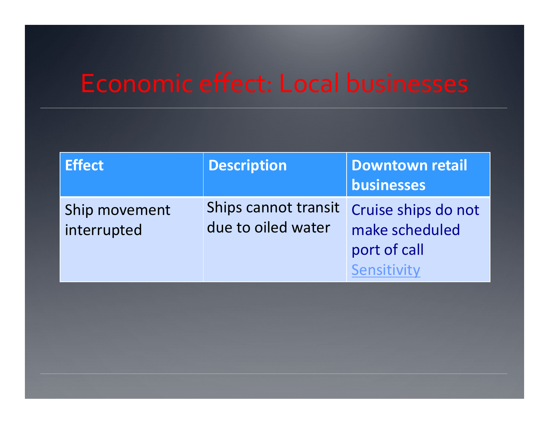# **Economic effect: Local businesses**

| <b>Effect</b>                | <b>Description</b>                         | <b>Downtown retail</b><br>businesses                                 |
|------------------------------|--------------------------------------------|----------------------------------------------------------------------|
| Ship movement<br>interrupted | Ships cannot transit<br>due to oiled water | Cruise ships do not<br>make scheduled<br>port of call<br>Sensitivity |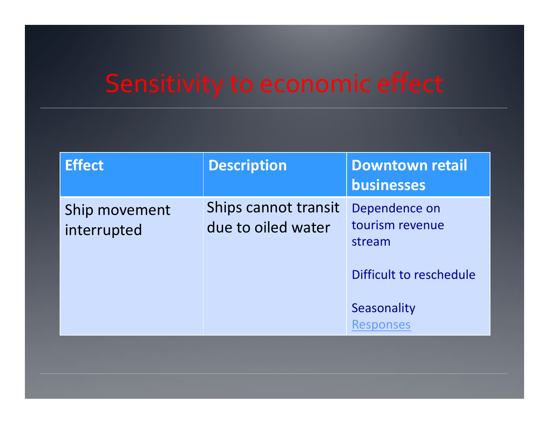| <b>Effect</b>                | <b>Description</b>                         | <b>Downtown retail</b><br>businesses                                  |
|------------------------------|--------------------------------------------|-----------------------------------------------------------------------|
| Ship movement<br>interrupted | Ships cannot transit<br>due to oiled water | Dependence on<br>tourism revenue<br>stream<br>Difficult to reschedule |
|                              |                                            | Seasonality<br><b>Responses</b>                                       |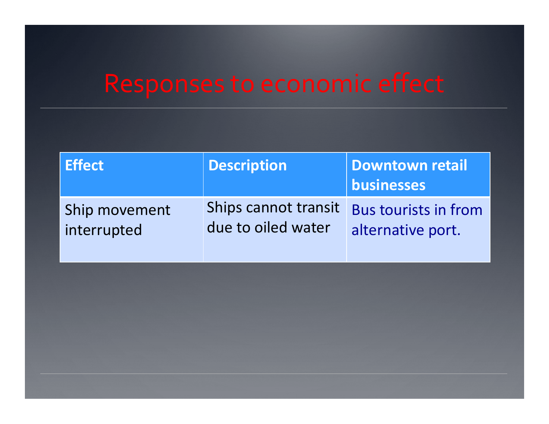| <b>Effect</b> | <b>Description</b>   | Downtown retail<br>businesses |
|---------------|----------------------|-------------------------------|
| Ship movement | Ships cannot transit | <b>Bus tourists in from</b>   |
| interrupted   | due to oiled water   | alternative port.             |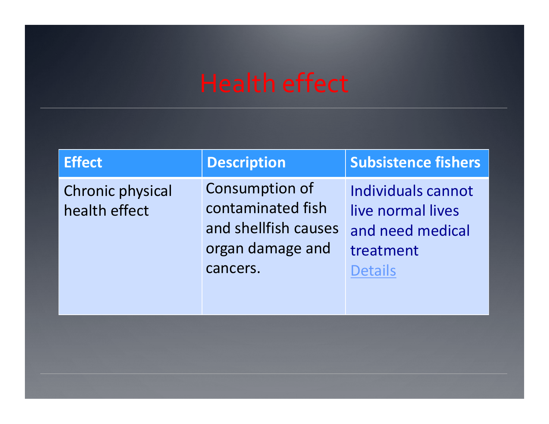| <b>Effect</b>                            | <b>Description</b>                                                                                 | <b>Subsistence fishers</b>                                                                 |
|------------------------------------------|----------------------------------------------------------------------------------------------------|--------------------------------------------------------------------------------------------|
| <b>Chronic physical</b><br>health effect | <b>Consumption of</b><br>contaminated fish<br>and shellfish causes<br>organ damage and<br>cancers. | Individuals cannot<br>live normal lives<br>and need medical<br>treatment<br><b>Details</b> |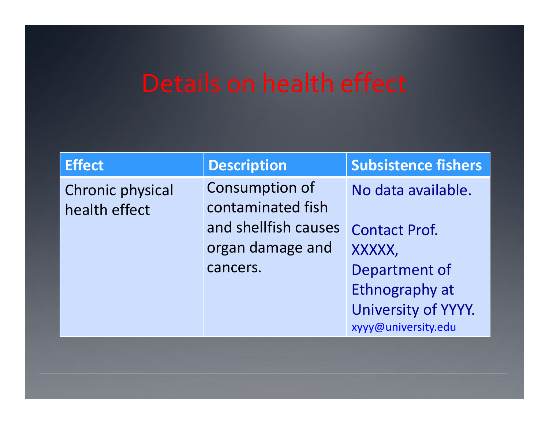| <b>Effect</b>                            | <b>Description</b>                                                                                 | <b>Subsistence fishers</b>                                                                                                            |
|------------------------------------------|----------------------------------------------------------------------------------------------------|---------------------------------------------------------------------------------------------------------------------------------------|
| <b>Chronic physical</b><br>health effect | <b>Consumption of</b><br>contaminated fish<br>and shellfish causes<br>organ damage and<br>cancers. | No data available.<br><b>Contact Prof.</b><br>XXXXX,<br>Department of<br>Ethnography at<br>University of YYYY.<br>xyyy@university.edu |